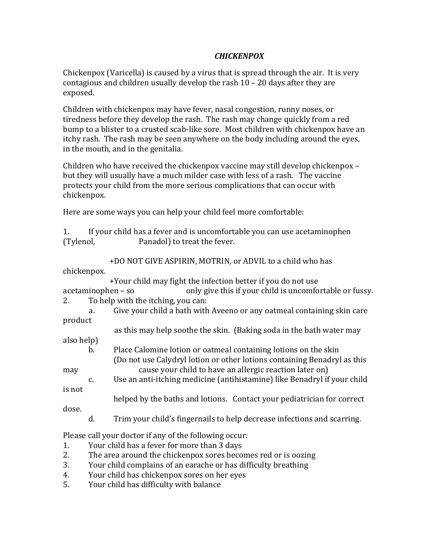## *CHICKENPOX*

Chickenpox (Varicella) is caused by a virus that is spread through the air. It is very contagious and children usually develop the rash  $10 - 20$  days after they are exposed.

Children with chickenpox may have fever, nasal congestion, runny noses, or tiredness before they develop the rash. The rash may change quickly from a red bump to a blister to a crusted scab-like sore. Most children with chickenpox have an itchy rash. The rash may be seen anywhere on the body including around the eyes, in the mouth, and in the genitalia.

Children who have received the chickenpox vaccine may still develop chickenpox – but they will usually have a much milder case with less of a rash. The vaccine protects your child from the more serious complications that can occur with chickenpox.

Here are some ways you can help your child feel more comfortable:

1. If your child has a fever and is uncomfortable you can use acetaminophen (Tylenol, Panadol) to treat the fever.

+DO NOT GIVE ASPIRIN, MOTRIN, or ADVIL to a child who has chickenpox.

+Your child may fight the infection better if you do not use acetaminophen – so only give this if your child is uncomfortable or fussy. 2. To help with the itching, you can:

- a. Give your child a bath with Aveeno or any oatmeal containing skin care product
- as this may help soothe the skin. (Baking soda in the bath water may also help)
- b. Place Calomine lotion or oatmeal containing lotions on the skin (Do not use Calydryl lotion or other lotions containing Benadryl as this may cause your child to have an allergic reaction later on)
- c. Use an anti-itching medicine (antihistamine) like Benadryl if your child is not
	- helped by the baths and lotions. Contact your pediatrician for correct

dose.

d. Trim your child's fingernails to help decrease infections and scarring.

Please call your doctor if any of the following occur:

- 1. Your child has a fever for more than 3 days
- 2. The area around the chickenpox sores becomes red or is oozing
- 3. Your child complains of an earache or has difficulty breathing
- 4. Your child has chickenpox sores on her eyes
- 5. Your child has difficulty with balance